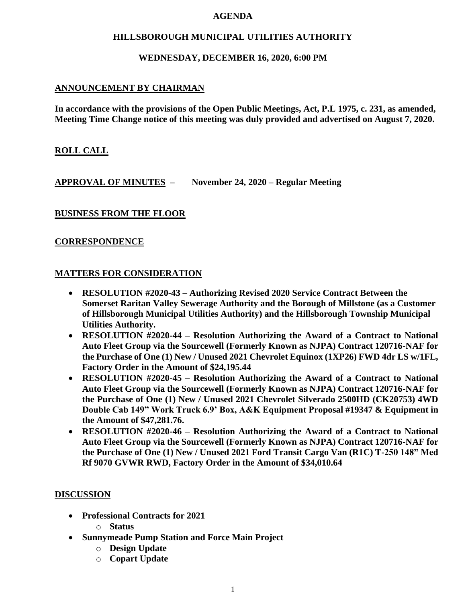#### **AGENDA**

### **HILLSBOROUGH MUNICIPAL UTILITIES AUTHORITY**

#### **WEDNESDAY, DECEMBER 16, 2020, 6:00 PM**

#### **ANNOUNCEMENT BY CHAIRMAN**

**In accordance with the provisions of the Open Public Meetings, Act, P.L 1975, c. 231, as amended, Meeting Time Change notice of this meeting was duly provided and advertised on August 7, 2020.**

### **ROLL CALL**

**APPROVAL OF MINUTES – November 24, 2020 – Regular Meeting**

### **BUSINESS FROM THE FLOOR**

### **CORRESPONDENCE**

#### **MATTERS FOR CONSIDERATION**

- **RESOLUTION #2020-43 – Authorizing Revised 2020 Service Contract Between the Somerset Raritan Valley Sewerage Authority and the Borough of Millstone (as a Customer of Hillsborough Municipal Utilities Authority) and the Hillsborough Township Municipal Utilities Authority.**
- **RESOLUTION #2020-44 – Resolution Authorizing the Award of a Contract to National Auto Fleet Group via the Sourcewell (Formerly Known as NJPA) Contract 120716-NAF for the Purchase of One (1) New / Unused 2021 Chevrolet Equinox (1XP26) FWD 4dr LS w/1FL, Factory Order in the Amount of \$24,195.44**
- **RESOLUTION #2020-45 – Resolution Authorizing the Award of a Contract to National Auto Fleet Group via the Sourcewell (Formerly Known as NJPA) Contract 120716-NAF for the Purchase of One (1) New / Unused 2021 Chevrolet Silverado 2500HD (CK20753) 4WD Double Cab 149" Work Truck 6.9' Box, A&K Equipment Proposal #19347 & Equipment in the Amount of \$47,281.76.**
- **RESOLUTION #2020-46 – Resolution Authorizing the Award of a Contract to National Auto Fleet Group via the Sourcewell (Formerly Known as NJPA) Contract 120716-NAF for the Purchase of One (1) New / Unused 2021 Ford Transit Cargo Van (R1C) T-250 148" Med Rf 9070 GVWR RWD, Factory Order in the Amount of \$34,010.64**

### **DISCUSSION**

- **Professional Contracts for 2021**
	- o **Status**
- **Sunnymeade Pump Station and Force Main Project**
	- o **Design Update**
	- o **Copart Update**